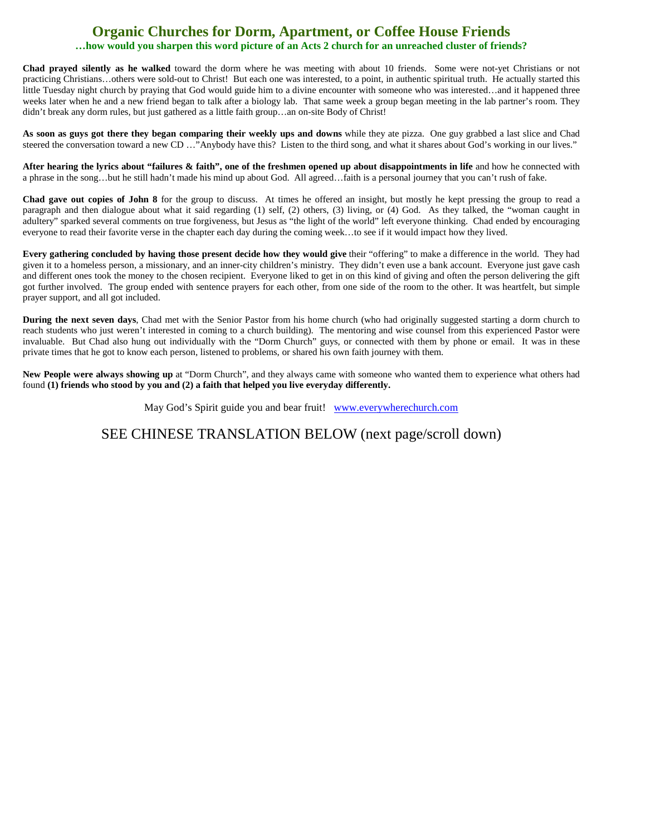## **Organic Churches for Dorm, Apartment, or Coffee House Friends …how would you sharpen this word picture of an Acts 2 church for an unreached cluster of friends?**

**Chad prayed silently as he walked** toward the dorm where he was meeting with about 10 friends. Some were not-yet Christians or not practicing Christians…others were sold-out to Christ! But each one was interested, to a point, in authentic spiritual truth. He actually started this little Tuesday night church by praying that God would guide him to a divine encounter with someone who was interested…and it happened three weeks later when he and a new friend began to talk after a biology lab. That same week a group began meeting in the lab partner's room. They didn't break any dorm rules, but just gathered as a little faith group...an on-site Body of Christ!

**As soon as guys got there they began comparing their weekly ups and downs** while they ate pizza. One guy grabbed a last slice and Chad steered the conversation toward a new CD …"Anybody have this? Listen to the third song, and what it shares about God's working in our lives."

**After hearing the lyrics about "failures & faith", one of the freshmen opened up about disappointments in life** and how he connected with a phrase in the song…but he still hadn't made his mind up about God. All agreed…faith is a personal journey that you can't rush of fake.

**Chad gave out copies of John 8** for the group to discuss. At times he offered an insight, but mostly he kept pressing the group to read a paragraph and then dialogue about what it said regarding (1) self, (2) others, (3) living, or (4) God. As they talked, the "woman caught in adultery" sparked several comments on true forgiveness, but Jesus as "the light of the world" left everyone thinking. Chad ended by encouraging everyone to read their favorite verse in the chapter each day during the coming week…to see if it would impact how they lived.

**Every gathering concluded by having those present decide how they would give** their "offering" to make a difference in the world. They had given it to a homeless person, a missionary, and an inner-city children's ministry. They didn't even use a bank account. Everyone just gave cash and different ones took the money to the chosen recipient. Everyone liked to get in on this kind of giving and often the person delivering the gift got further involved. The group ended with sentence prayers for each other, from one side of the room to the other. It was heartfelt, but simple prayer support, and all got included.

**During the next seven days**, Chad met with the Senior Pastor from his home church (who had originally suggested starting a dorm church to reach students who just weren't interested in coming to a church building). The mentoring and wise counsel from this experienced Pastor were invaluable. But Chad also hung out individually with the "Dorm Church" guys, or connected with them by phone or email. It was in these private times that he got to know each person, listened to problems, or shared his own faith journey with them.

**New People were always showing up** at "Dorm Church", and they always came with someone who wanted them to experience what others had found **(1) friends who stood by you and (2) a faith that helped you live everyday differently.**

May God's Spirit guide you and bear fruit! [www.everywherechurch.com](http://www.everywherechurch.com/)

SEE CHINESE TRANSLATION BELOW (next page/scroll down)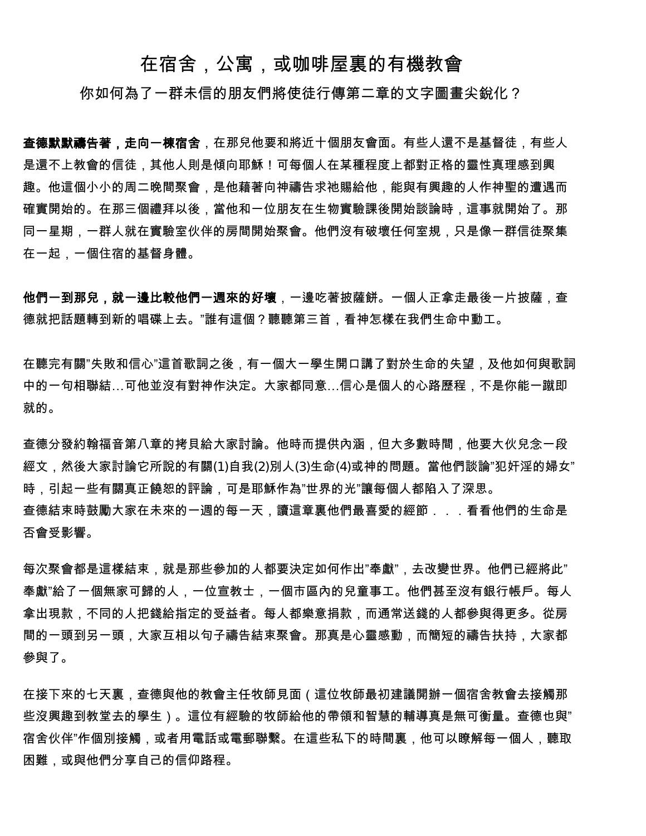## 在宿舍,公寓,或咖啡屋裏的有機教會

你如何為了一群未信的朋友們將使徒行傳第二章的文字圖書尖銳化?

**查德默默禱告著,走向一棟宿舍**,在那兒他要和將近十個朋友會面。有些人還不是基督徒,有些人 是還不上教會的信徒,其他人則是傾向耶穌!可每個人在某種程度上都對正格的靈性真理感到興 趣。他這個小小的周二晚間聚會,是他藉著向神禱告求祂賜給他,能與有興趣的人作神聖的遭遇而 確實開始的。在那三個禮拜以後,當他和一位朋友在生物實驗課後開始談論時,這事就開始了。那 同一星期,一群人就在實驗室伙伴的房間開始聚會。他們沒有破壞任何室規,只是像一群信徒聚集 在一起,一個住宿的基督身體。

他們一到那兒,就一邊比較他們一週來的好壞,一邊吃著披薩餅。一個人正拿走最後一片披薩,查 德就把話題轉到新的唱碟上去。"誰有這個?聽聽第三首,看神怎樣在我們生命中動工。

在聽完有關"失敗和信心"這首歌詞之後,有一個大一學生開口講了對於生命的失望,及他如何與歌詞 中的一句相聯結…可他並沒有對神作決定。大家都同意…信心是個人的心路歷程,不是你能一蹴即 就的。

查德分發約翰福音第八章的拷貝給大家討論。他時而提供內涵,但大多數時間,他要大伙兒念一段 經文,然後大家討論它所說的有關(1)自我(2)別人(3)生命(4)或神的問題。當他們談論"犯奸淫的婦女" 時,引起一些有關真正饒恕的評論,可是耶穌作為"世界的光"讓每個人都陷入了深思。 查德結束時鼓勵大家在未來的一週的每一天,讀這章裏他們最喜愛的經節...看看他們的生命是 否會受影響。

每次聚會都是這樣結束,就是那些參加的人都要決定如何作出"奉獻",去改變世界。他們已經將此" 奉獻"給了一個無家可歸的人,一位宣教士,一個市區內的兒童事工。他們甚至沒有銀行帳戶。每人 拿出現款,不同的人把錢給指定的受益者。每人都樂意捐款,而通常送錢的人都參與得更多。從房 間的一頭到另一頭,大家互相以句子禱告結束聚會。那真是心靈感動,而簡短的禱告扶持,大家都 參與了。

在接下來的七天裏,查德與他的教會主任牧師見面(這位牧師最初建議開辦一個宿舍教會去接觸那 些沒興趣到教堂去的學生)。這位有經驗的牧師給他的帶領和智慧的輔導真是無可衡量。查德也與" 宿舍伙伴"作個別接觸,或者用電話或電郵聯繫。在這些私下的時間裏,他可以瞭解每一個人,聽取 困難,或與他們分享自己的信仰路程。